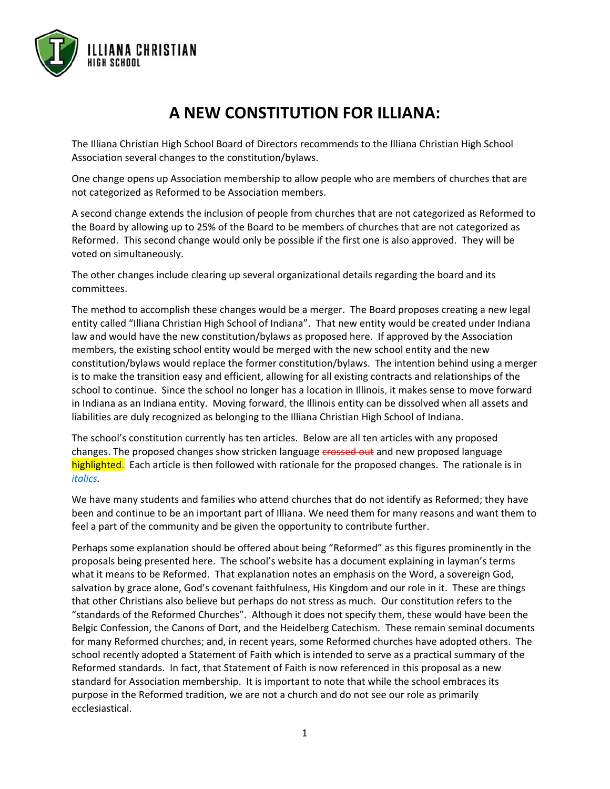

# **A NEW CONSTITUTION FOR ILLIANA:**

The Illiana Christian High School Board of Directors recommends to the Illiana Christian High School Association several changes to the constitution/bylaws.

One change opens up Association membership to allow people who are members of churches that are not categorized as Reformed to be Association members.

A second change extends the inclusion of people from churches that are not categorized as Reformed to the Board by allowing up to 25% of the Board to be members of churches that are not categorized as Reformed. This second change would only be possible if the first one is also approved. They will be voted on simultaneously.

The other changes include clearing up several organizational details regarding the board and its committees.

The method to accomplish these changes would be a merger. The Board proposes creating a new legal entity called "Illiana Christian High School of Indiana". That new entity would be created under Indiana law and would have the new constitution/bylaws as proposed here. If approved by the Association members, the existing school entity would be merged with the new school entity and the new constitution/bylaws would replace the former constitution/bylaws. The intention behind using a merger is to make the transition easy and efficient, allowing for all existing contracts and relationships of the school to continue. Since the school no longer has a location in Illinois, it makes sense to move forward in Indiana as an Indiana entity. Moving forward, the Illinois entity can be dissolved when all assets and liabilities are duly recognized as belonging to the Illiana Christian High School of Indiana.

The school's constitution currently has ten articles. Below are all ten articles with any proposed changes. The proposed changes show stricken language crossed out and new proposed language highlighted. Each article is then followed with rationale for the proposed changes. The rationale is in *italics.*

We have many students and families who attend churches that do not identify as Reformed; they have been and continue to be an important part of Illiana. We need them for many reasons and want them to feel a part of the community and be given the opportunity to contribute further.

Perhaps some explanation should be offered about being "Reformed" as this figures prominently in the proposals being presented here. The school's website has a document explaining in layman's terms what it means to be Reformed. That explanation notes an emphasis on the Word, a sovereign God, salvation by grace alone, God's covenant faithfulness, His Kingdom and our role in it. These are things that other Christians also believe but perhaps do not stress as much. Our constitution refers to the "standards of the Reformed Churches". Although it does not specify them, these would have been the Belgic Confession, the Canons of Dort, and the Heidelberg Catechism. These remain seminal documents for many Reformed churches; and, in recent years, some Reformed churches have adopted others. The school recently adopted a Statement of Faith which is intended to serve as a practical summary of the Reformed standards. In fact, that Statement of Faith is now referenced in this proposal as a new standard for Association membership. It is important to note that while the school embraces its purpose in the Reformed tradition, we are not a church and do not see our role as primarily ecclesiastical.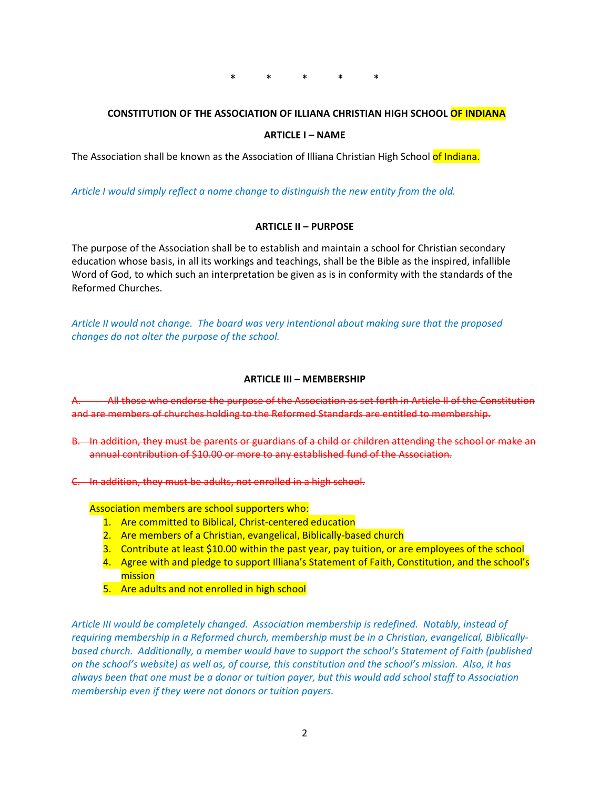**\* \* \* \* \***

# **CONSTITUTION OF THE ASSOCIATION OF ILLIANA CHRISTIAN HIGH SCHOOL OF INDIANA**

#### **ARTICLE I – NAME**

The Association shall be known as the Association of Illiana Christian High School of Indiana.

*Article I would simply reflect a name change to distinguish the new entity from the old.*

## **ARTICLE II – PURPOSE**

The purpose of the Association shall be to establish and maintain a school for Christian secondary education whose basis, in all its workings and teachings, shall be the Bible as the inspired, infallible Word of God, to which such an interpretation be given as is in conformity with the standards of the Reformed Churches.

*Article II would not change. The board was very intentional about making sure that the proposed changes do not alter the purpose of the school.*

## **ARTICLE III – MEMBERSHIP**

All those who endorse the purpose of the Association as set forth in Article II of the Constitution and are members of churches holding to the Reformed Standards are entitled to membership.

- B. In addition, they must be parents or guardians of a child or children attending the school or make an annual contribution of \$10.00 or more to any established fund of the Association.
- C. In addition, they must be adults, not enrolled in a high school.

Association members are school supporters who:

- 1. Are committed to Biblical, Christ-centered education
- 2. Are members of a Christian, evangelical, Biblically-based church
- 3. Contribute at least \$10.00 within the past year, pay tuition, or are employees of the school
- 4. Agree with and pledge to support Illiana's Statement of Faith, Constitution, and the school's mission
- 5. Are adults and not enrolled in high school

*Article III would be completely changed. Association membership is redefined. Notably, instead of requiring membership in a Reformed church, membership must be in a Christian, evangelical, Biblicallybased church. Additionally, a member would have to support the school's Statement of Faith (published on the school's website) as well as, of course, this constitution and the school's mission. Also, it has always been that one must be a donor or tuition payer, but this would add school staff to Association membership even if they were not donors or tuition payers.*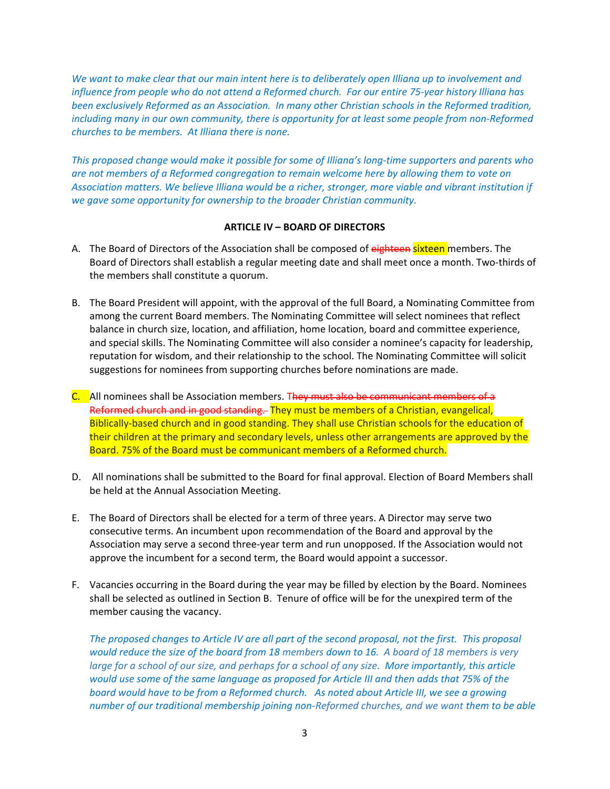*We want to make clear that our main intent here is to deliberately open Illiana up to involvement and influence from people who do not attend a Reformed church. For our entire 75-year history Illiana has been exclusively Reformed as an Association. In many other Christian schools in the Reformed tradition, including many in our own community, there is opportunity for at least some people from non-Reformed churches to be members. At Illiana there is none.*

*This proposed change would make it possible for some of Illiana's long-time supporters and parents who are not members of a Reformed congregation to remain welcome here by allowing them to vote on Association matters. We believe Illiana would be a richer, stronger, more viable and vibrant institution if we gave some opportunity for ownership to the broader Christian community.*

# **ARTICLE IV – BOARD OF DIRECTORS**

- A. The Board of Directors of the Association shall be composed of eighteen sixteen members. The Board of Directors shall establish a regular meeting date and shall meet once a month. Two-thirds of the members shall constitute a quorum.
- B. The Board President will appoint, with the approval of the full Board, a Nominating Committee from among the current Board members. The Nominating Committee will select nominees that reflect balance in church size, location, and affiliation, home location, board and committee experience, and special skills. The Nominating Committee will also consider a nominee's capacity for leadership, reputation for wisdom, and their relationship to the school. The Nominating Committee will solicit suggestions for nominees from supporting churches before nominations are made.
- C. All nominees shall be Association members. They must also be communicant members of a Reformed church and in good standing. They must be members of a Christian, evangelical, Biblically-based church and in good standing. They shall use Christian schools for the education of their children at the primary and secondary levels, unless other arrangements are approved by the Board. 75% of the Board must be communicant members of a Reformed church.
- D. All nominations shall be submitted to the Board for final approval. Election of Board Members shall be held at the Annual Association Meeting.
- E. The Board of Directors shall be elected for a term of three years. A Director may serve two consecutive terms. An incumbent upon recommendation of the Board and approval by the Association may serve a second three-year term and run unopposed. If the Association would not approve the incumbent for a second term, the Board would appoint a successor.
- F. Vacancies occurring in the Board during the year may be filled by election by the Board. Nominees shall be selected as outlined in Section B. Tenure of office will be for the unexpired term of the member causing the vacancy.

*The proposed changes to Article IV are all part of the second proposal, not the first. This proposal would reduce the size of the board from 18 members down to 16. A board of 18 members is very*  large for a school of our size, and perhaps for a school of any size. More importantly, this article *would use some of the same language as proposed for Article III and then adds that 75% of the board would have to be from a Reformed church. As noted about Article III, we see a growing number of our traditional membership joining non-Reformed churches, and we want them to be able*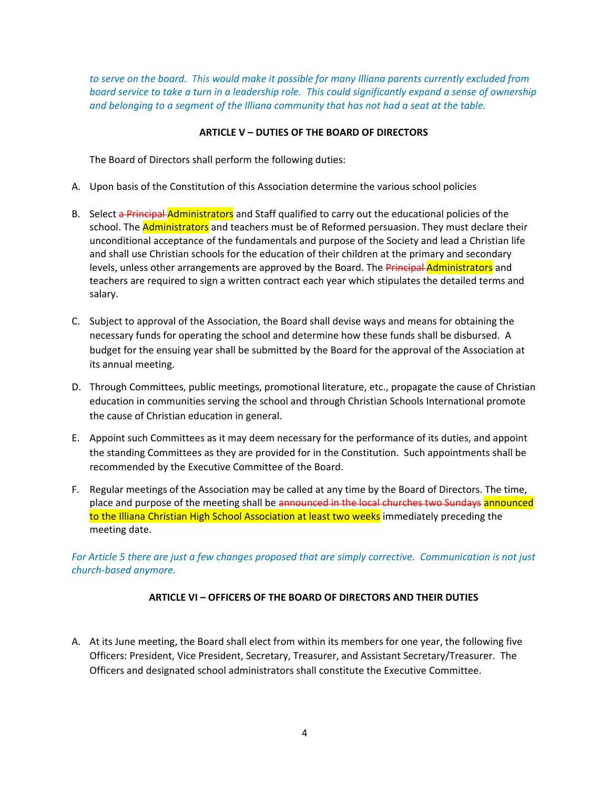*to serve on the board. This would make it possible for many Illiana parents currently excluded from board service to take a turn in a leadership role. This could significantly expand a sense of ownership and belonging to a segment of the Illiana community that has not had a seat at the table.*

# **ARTICLE V – DUTIES OF THE BOARD OF DIRECTORS**

The Board of Directors shall perform the following duties:

- A. Upon basis of the Constitution of this Association determine the various school policies
- B. Select a Principal Administrators and Staff qualified to carry out the educational policies of the school. The **Administrators** and teachers must be of Reformed persuasion. They must declare their unconditional acceptance of the fundamentals and purpose of the Society and lead a Christian life and shall use Christian schools for the education of their children at the primary and secondary levels, unless other arrangements are approved by the Board. The Principal Administrators and teachers are required to sign a written contract each year which stipulates the detailed terms and salary.
- C. Subject to approval of the Association, the Board shall devise ways and means for obtaining the necessary funds for operating the school and determine how these funds shall be disbursed. A budget for the ensuing year shall be submitted by the Board for the approval of the Association at its annual meeting.
- D. Through Committees, public meetings, promotional literature, etc., propagate the cause of Christian education in communities serving the school and through Christian Schools International promote the cause of Christian education in general.
- E. Appoint such Committees as it may deem necessary for the performance of its duties, and appoint the standing Committees as they are provided for in the Constitution. Such appointments shall be recommended by the Executive Committee of the Board.
- F. Regular meetings of the Association may be called at any time by the Board of Directors. The time, place and purpose of the meeting shall be announced in the local churches two Sundays announced to the Illiana Christian High School Association at least two weeks immediately preceding the meeting date.

*For Article 5 there are just a few changes proposed that are simply corrective. Communication is not just church-based anymore.* 

# **ARTICLE VI – OFFICERS OF THE BOARD OF DIRECTORS AND THEIR DUTIES**

A. At its June meeting, the Board shall elect from within its members for one year, the following five Officers: President, Vice President, Secretary, Treasurer, and Assistant Secretary/Treasurer. The Officers and designated school administrators shall constitute the Executive Committee.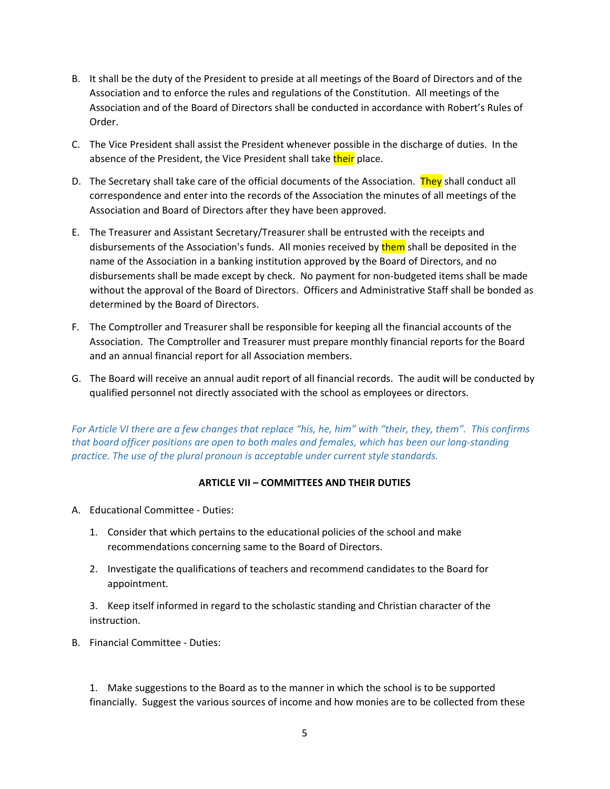- B. It shall be the duty of the President to preside at all meetings of the Board of Directors and of the Association and to enforce the rules and regulations of the Constitution. All meetings of the Association and of the Board of Directors shall be conducted in accordance with Robert's Rules of Order.
- C. The Vice President shall assist the President whenever possible in the discharge of duties. In the absence of the President, the Vice President shall take their place.
- D. The Secretary shall take care of the official documents of the Association. They shall conduct all correspondence and enter into the records of the Association the minutes of all meetings of the Association and Board of Directors after they have been approved.
- E. The Treasurer and Assistant Secretary/Treasurer shall be entrusted with the receipts and disbursements of the Association's funds. All monies received by them shall be deposited in the name of the Association in a banking institution approved by the Board of Directors, and no disbursements shall be made except by check. No payment for non-budgeted items shall be made without the approval of the Board of Directors. Officers and Administrative Staff shall be bonded as determined by the Board of Directors.
- F. The Comptroller and Treasurer shall be responsible for keeping all the financial accounts of the Association. The Comptroller and Treasurer must prepare monthly financial reports for the Board and an annual financial report for all Association members.
- G. The Board will receive an annual audit report of all financial records. The audit will be conducted by qualified personnel not directly associated with the school as employees or directors.

*For Article VI there are a few changes that replace "his, he, him" with "their, they, them". This confirms that board officer positions are open to both males and females, which has been our long-standing practice. The use of the plural pronoun is acceptable under current style standards.*

# **ARTICLE VII – COMMITTEES AND THEIR DUTIES**

- A. Educational Committee Duties:
	- 1. Consider that which pertains to the educational policies of the school and make recommendations concerning same to the Board of Directors.
	- 2. Investigate the qualifications of teachers and recommend candidates to the Board for appointment.

 3. Keep itself informed in regard to the scholastic standing and Christian character of the instruction.

B. Financial Committee - Duties:

 1. Make suggestions to the Board as to the manner in which the school is to be supported financially. Suggest the various sources of income and how monies are to be collected from these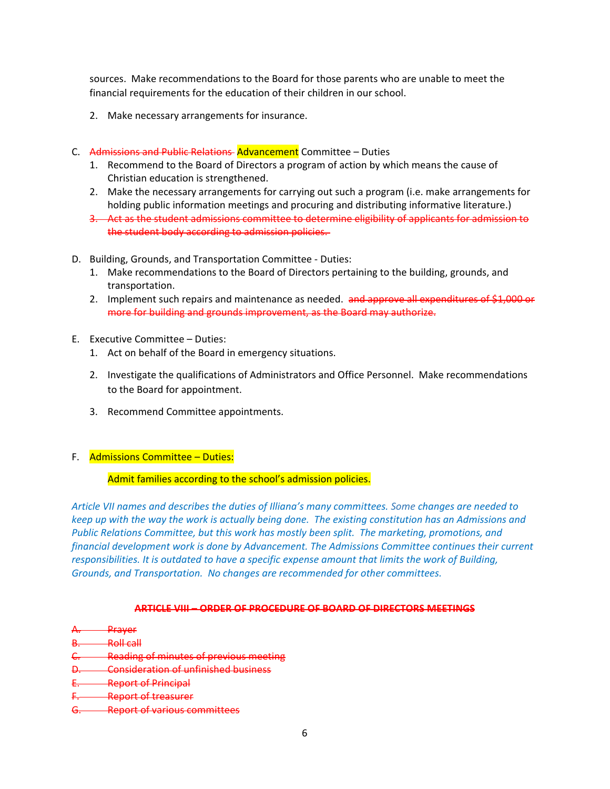sources. Make recommendations to the Board for those parents who are unable to meet the financial requirements for the education of their children in our school.

- 2. Make necessary arrangements for insurance.
- C. Admissions and Public Relations Advancement Committee Duties
	- 1. Recommend to the Board of Directors a program of action by which means the cause of Christian education is strengthened.
	- 2. Make the necessary arrangements for carrying out such a program (i.e. make arrangements for holding public information meetings and procuring and distributing informative literature.)
	- 3. Act as the student admissions committee to determine eligibility of applicants for admission to the student body according to admission policies.
- D. Building, Grounds, and Transportation Committee Duties:
	- 1. Make recommendations to the Board of Directors pertaining to the building, grounds, and transportation.
	- 2. Implement such repairs and maintenance as needed. and approve all expenditures of \$1,000 or more for building and grounds improvement, as the Board may authorize.
- E. Executive Committee Duties:
	- 1. Act on behalf of the Board in emergency situations.
	- 2. Investigate the qualifications of Administrators and Office Personnel. Make recommendations to the Board for appointment.
	- 3. Recommend Committee appointments.
- F. Admissions Committee Duties:

## Admit families according to the school's admission policies.

*Article VII names and describes the duties of Illiana's many committees. Some changes are needed to keep up with the way the work is actually being done. The existing constitution has an Admissions and Public Relations Committee, but this work has mostly been split. The marketing, promotions, and financial development work is done by Advancement. The Admissions Committee continues their current responsibilities. It is outdated to have a specific expense amount that limits the work of Building, Grounds, and Transportation. No changes are recommended for other committees.*

## **ARTICLE VIII – ORDER OF PROCEDURE OF BOARD OF DIRECTORS MEETINGS**

- A. Prayer
- **B.** Roll call
- C. Reading of minutes of previous meeting
- D. Consideration of unfinished business
- E. Report of Principal
- F. Report of treasurer
- G. Report of various committees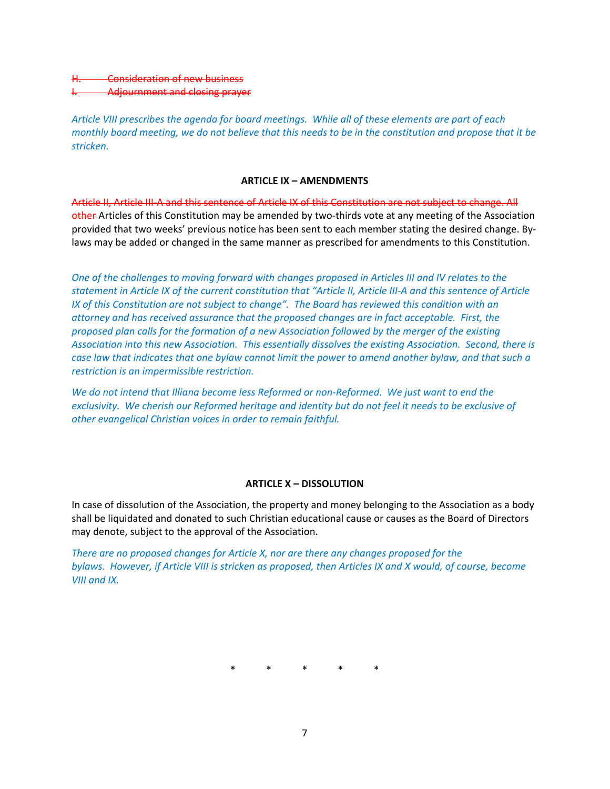# **-Consideration of new business** Adjournment and closing prayer

*Article VIII prescribes the agenda for board meetings. While all of these elements are part of each monthly board meeting, we do not believe that this needs to be in the constitution and propose that it be stricken.* 

## **ARTICLE IX – AMENDMENTS**

Article II, Article III-A and this sentence of Article IX of this Constitution are not subject to change. All other Articles of this Constitution may be amended by two-thirds vote at any meeting of the Association provided that two weeks' previous notice has been sent to each member stating the desired change. Bylaws may be added or changed in the same manner as prescribed for amendments to this Constitution.

*One of the challenges to moving forward with changes proposed in Articles III and IV relates to the statement in Article IX of the current constitution that "Article II, Article III-A and this sentence of Article IX of this Constitution are not subject to change". The Board has reviewed this condition with an attorney and has received assurance that the proposed changes are in fact acceptable. First, the proposed plan calls for the formation of a new Association followed by the merger of the existing Association into this new Association. This essentially dissolves the existing Association. Second, there is case law that indicates that one bylaw cannot limit the power to amend another bylaw, and that such a restriction is an impermissible restriction.* 

*We do not intend that Illiana become less Reformed or non-Reformed. We just want to end the exclusivity. We cherish our Reformed heritage and identity but do not feel it needs to be exclusive of other evangelical Christian voices in order to remain faithful.* 

# **ARTICLE X – DISSOLUTION**

In case of dissolution of the Association, the property and money belonging to the Association as a body shall be liquidated and donated to such Christian educational cause or causes as the Board of Directors may denote, subject to the approval of the Association.

*There are no proposed changes for Article X, nor are there any changes proposed for the bylaws. However, if Article VIII is stricken as proposed, then Articles IX and X would, of course, become VIII and IX.*

\* \* \* \* \*